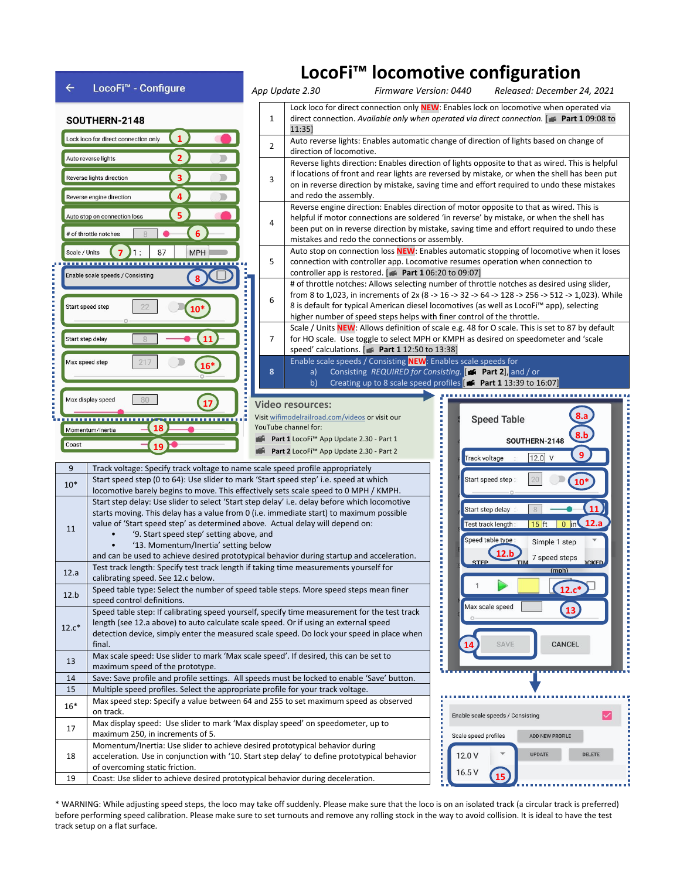

\* WARNING: While adjusting speed steps, the loco may take off suddenly. Please make sure that the loco is on an isolated track (a circular track is preferred) before performing speed calibration. Please make sure to set turnouts and remove any rolling stock in the way to avoid collision. It is ideal to have the test track setup on a flat surface.